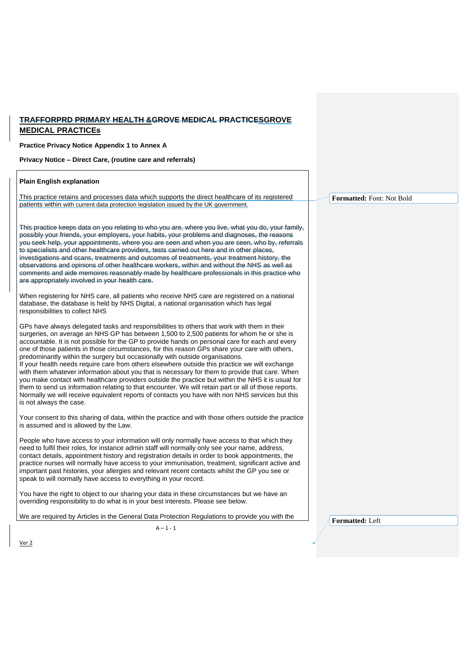## **TRAFFORPRD PRIMARY HEALTH &GROVE MEDICAL PRACTICESGROVE MEDICAL PRACTICEs**

**Practice Privacy Notice Appendix 1 to Annex A** 

**Privacy Notice – Direct Care, (routine care and referrals)**

| <b>Plain English explanation</b>                                                                                                                                                                                                                                                                                                                                                                                                                                                                                                                                                                                                                                                                                                                                                                                                                                                                                                                                                                                               |                           |
|--------------------------------------------------------------------------------------------------------------------------------------------------------------------------------------------------------------------------------------------------------------------------------------------------------------------------------------------------------------------------------------------------------------------------------------------------------------------------------------------------------------------------------------------------------------------------------------------------------------------------------------------------------------------------------------------------------------------------------------------------------------------------------------------------------------------------------------------------------------------------------------------------------------------------------------------------------------------------------------------------------------------------------|---------------------------|
| This practice retains and processes data which supports the direct healthcare of its registered                                                                                                                                                                                                                                                                                                                                                                                                                                                                                                                                                                                                                                                                                                                                                                                                                                                                                                                                | Formatted: Font: Not Bold |
| patients within with current data protection legislation issued by the UK government.                                                                                                                                                                                                                                                                                                                                                                                                                                                                                                                                                                                                                                                                                                                                                                                                                                                                                                                                          |                           |
| This practice keeps data on you relating to who you are, where you live, what you do, your family,<br>possibly your friends, your employers, your habits, your problems and diagnoses, the reasons<br>you seek help, your appointments, where you are seen and when you are seen, who by, referrals<br>to specialists and other healthcare providers, tests carried out here and in other places,<br>investigations and scans, treatments and outcomes of treatments, your treatment history, the<br>observations and opinions of other healthcare workers, within and without the NHS as well as<br>comments and aide memoires reasonably made by healthcare professionals in this practice who<br>are appropriately involved in your health care.                                                                                                                                                                                                                                                                            |                           |
| When registering for NHS care, all patients who receive NHS care are registered on a national<br>database, the database is held by NHS Digital, a national organisation which has legal<br>responsibilities to collect NHS                                                                                                                                                                                                                                                                                                                                                                                                                                                                                                                                                                                                                                                                                                                                                                                                     |                           |
| GPs have always delegated tasks and responsibilities to others that work with them in their<br>surgeries, on average an NHS GP has between 1,500 to 2,500 patients for whom he or she is<br>accountable. It is not possible for the GP to provide hands on personal care for each and every<br>one of those patients in those circumstances, for this reason GPs share your care with others,<br>predominantly within the surgery but occasionally with outside organisations.<br>If your health needs require care from others elsewhere outside this practice we will exchange<br>with them whatever information about you that is necessary for them to provide that care. When<br>you make contact with healthcare providers outside the practice but within the NHS it is usual for<br>them to send us information relating to that encounter. We will retain part or all of those reports.<br>Normally we will receive equivalent reports of contacts you have with non NHS services but this<br>is not always the case. |                           |
| Your consent to this sharing of data, within the practice and with those others outside the practice<br>is assumed and is allowed by the Law.                                                                                                                                                                                                                                                                                                                                                                                                                                                                                                                                                                                                                                                                                                                                                                                                                                                                                  |                           |
| People who have access to your information will only normally have access to that which they<br>need to fulfil their roles, for instance admin staff will normally only see your name, address,<br>contact details, appointment history and registration details in order to book appointments, the<br>practice nurses will normally have access to your immunisation, treatment, significant active and<br>important past histories, your allergies and relevant recent contacts whilst the GP you see or<br>speak to will normally have access to everything in your record.                                                                                                                                                                                                                                                                                                                                                                                                                                                 |                           |
| You have the right to object to our sharing your data in these circumstances but we have an<br>overriding responsibility to do what is in your best interests. Please see below.                                                                                                                                                                                                                                                                                                                                                                                                                                                                                                                                                                                                                                                                                                                                                                                                                                               |                           |
| We are required by Articles in the General Data Protection Regulations to provide you with the                                                                                                                                                                                                                                                                                                                                                                                                                                                                                                                                                                                                                                                                                                                                                                                                                                                                                                                                 | Formatted: Left           |
| $A - 1 - 1$                                                                                                                                                                                                                                                                                                                                                                                                                                                                                                                                                                                                                                                                                                                                                                                                                                                                                                                                                                                                                    |                           |

Ver 2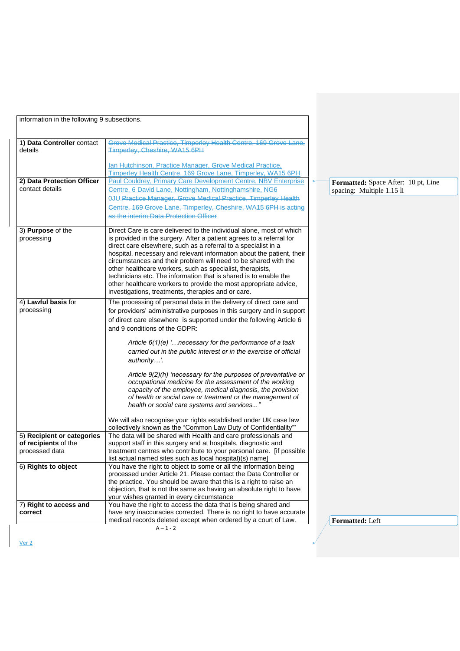| information in the following 9 subsections.                                                 |                                                                                                                                                                                                                                                                                                                                                                                                                                                                                                                                                                                                                                                                                                                                                                                    |  |
|---------------------------------------------------------------------------------------------|------------------------------------------------------------------------------------------------------------------------------------------------------------------------------------------------------------------------------------------------------------------------------------------------------------------------------------------------------------------------------------------------------------------------------------------------------------------------------------------------------------------------------------------------------------------------------------------------------------------------------------------------------------------------------------------------------------------------------------------------------------------------------------|--|
| 1) Data Controller contact<br>details                                                       | Grove Medical Practice, Timperley Health Centre, 169 Grove Lane,<br>Timperley, Cheshire, WA15 6PH<br>Ian Hutchinson. Practice Manager, Grove Medical Practice,                                                                                                                                                                                                                                                                                                                                                                                                                                                                                                                                                                                                                     |  |
| 2) Data Protection Officer<br>contact details                                               | Timperley Health Centre, 169 Grove Lane, Timperley, WA15 6PH<br>Paul Couldrey, Primary Care Development Centre, NBV Enterprise<br>Centre, 6 David Lane, Nottingham, Nottinghamshire, NG6<br><b>OJU. Practice Manager, Grove Medical Practice, Timperley Health</b><br>Centre, 169 Grove Lane, Timperley, Cheshire, WA15 6PH is acting<br>as the interim Data Protection Officer                                                                                                                                                                                                                                                                                                                                                                                                    |  |
| 3) Purpose of the<br>processing                                                             | Direct Care is care delivered to the individual alone, most of which<br>is provided in the surgery. After a patient agrees to a referral for<br>direct care elsewhere, such as a referral to a specialist in a<br>hospital, necessary and relevant information about the patient, their<br>circumstances and their problem will need to be shared with the<br>other healthcare workers, such as specialist, therapists,<br>technicians etc. The information that is shared is to enable the<br>other healthcare workers to provide the most appropriate advice,<br>investigations, treatments, therapies and or care.                                                                                                                                                              |  |
| 4) Lawful basis for<br>processing                                                           | The processing of personal data in the delivery of direct care and<br>for providers' administrative purposes in this surgery and in support<br>of direct care elsewhere is supported under the following Article 6<br>and 9 conditions of the GDPR:<br>Article $6(1)(e)$ ' necessary for the performance of a task<br>carried out in the public interest or in the exercise of official<br>authority'.<br>Article 9(2)(h) 'necessary for the purposes of preventative or<br>occupational medicine for the assessment of the working<br>capacity of the employee, medical diagnosis, the provision<br>of health or social care or treatment or the management of<br>health or social care systems and services"<br>We will also recognise your rights established under UK case law |  |
| 5) Recipient or categories<br>of recipients of the<br>processed data<br>6) Rights to object | collectively known as the "Common Law Duty of Confidentiality"*<br>The data will be shared with Health and care professionals and<br>support staff in this surgery and at hospitals, diagnostic and<br>treatment centres who contribute to your personal care. [if possible<br>list actual named sites such as local hospital)(s) name]<br>You have the right to object to some or all the information being<br>processed under Article 21. Please contact the Data Controller or<br>the practice. You should be aware that this is a right to raise an<br>objection, that is not the same as having an absolute right to have                                                                                                                                                     |  |
| 7) Right to access and<br>correct                                                           | your wishes granted in every circumstance<br>You have the right to access the data that is being shared and<br>have any inaccuracies corrected. There is no right to have accurate<br>medical records deleted except when ordered by a court of Law.<br>$A - 1 - 2$                                                                                                                                                                                                                                                                                                                                                                                                                                                                                                                |  |

**Formatted:** Space After: 10 pt, Line spacing: Multiple 1.15 li

**Formatted:** Left

Ver 2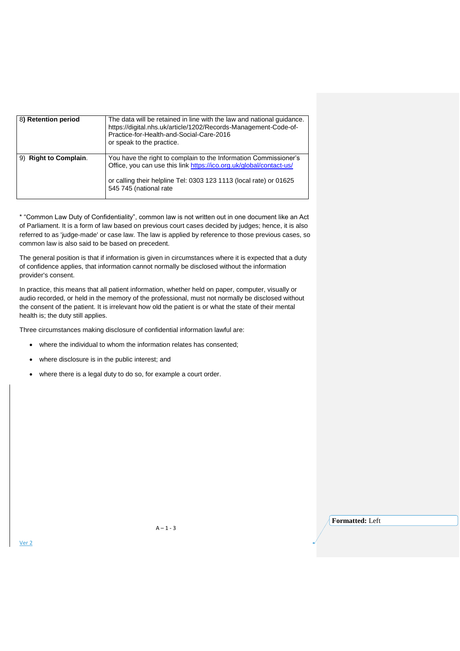| 8) Retention period   | The data will be retained in line with the law and national guidance.<br>https://digital.nhs.uk/article/1202/Records-Management-Code-of-<br>Practice-for-Health-and-Social-Care-2016<br>or speak to the practice.                       |
|-----------------------|-----------------------------------------------------------------------------------------------------------------------------------------------------------------------------------------------------------------------------------------|
| 9) Right to Complain. | You have the right to complain to the Information Commissioner's<br>Office, you can use this link https://ico.org.uk/global/contact-us/<br>or calling their helpline Tel: 0303 123 1113 (local rate) or 01625<br>545 745 (national rate |

\* "Common Law Duty of Confidentiality", common law is not written out in one document like an Act of Parliament. It is a form of law based on previous court cases decided by judges; hence, it is also referred to as 'judge-made' or case law. The law is applied by reference to those previous cases, so common law is also said to be based on precedent.

The general position is that if information is given in circumstances where it is expected that a duty of confidence applies, that information cannot normally be disclosed without the information provider's consent.

In practice, this means that all patient information, whether held on paper, computer, visually or audio recorded, or held in the memory of the professional, must not normally be disclosed without the consent of the patient. It is irrelevant how old the patient is or what the state of their mental health is; the duty still applies.

Three circumstances making disclosure of confidential information lawful are:

- where the individual to whom the information relates has consented;
- where disclosure is in the public interest; and
- where there is a legal duty to do so, for example a court order.

**Formatted:** Left

Ver 2